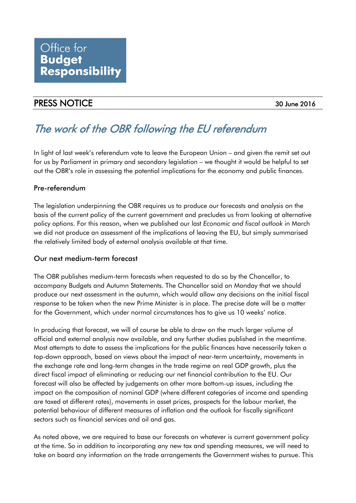## PRESS NOTICE 30 June 2016

# The work of the OBR following the EU referendum

In light of last week's referendum vote to leave the European Union – and given the remit set out for us by Parliament in primary and secondary legislation – we thought it would be helpful to set out the OBR's role in assessing the potential implications for the economy and public finances.

### Pre-referendum

The legislation underpinning the OBR requires us to produce our forecasts and analysis on the basis of the current policy of the current government and precludes us from looking at alternative policy options. For this reason, when we published our last *Economic and fiscal outlook* in March we did not produce an assessment of the implications of leaving the EU, but simply summarised the relatively limited body of external analysis available at that time.

#### Our next medium-term forecast

The OBR publishes medium-term forecasts when requested to do so by the Chancellor, to accompany Budgets and Autumn Statements. The Chancellor said on Monday that we should produce our next assessment in the autumn, which would allow any decisions on the initial fiscal response to be taken when the new Prime Minister is in place. The precise date will be a matter for the Government, which under normal circumstances has to give us 10 weeks' notice.

In producing that forecast, we will of course be able to draw on the much larger volume of official and external analysis now available, and any further studies published in the meantime. Most attempts to date to assess the implications for the public finances have necessarily taken a top-down approach, based on views about the impact of near-term uncertainty, movements in the exchange rate and long-term changes in the trade regime on real GDP growth, plus the direct fiscal impact of eliminating or reducing our net financial contribution to the EU. Our forecast will also be affected by judgements on other more bottom-up issues, including the impact on the composition of nominal GDP (where different categories of income and spending are taxed at different rates), movements in asset prices, prospects for the labour market, the potential behaviour of different measures of inflation and the outlook for fiscally significant sectors such as financial services and oil and gas.

As noted above, we are required to base our forecasts on whatever is current government policy at the time. So in addition to incorporating any new tax and spending measures, we will need to take on board any information on the trade arrangements the Government wishes to pursue. This